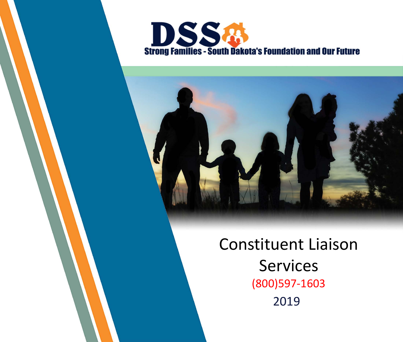



### Constituent Liaison Services (800)597-1603 2019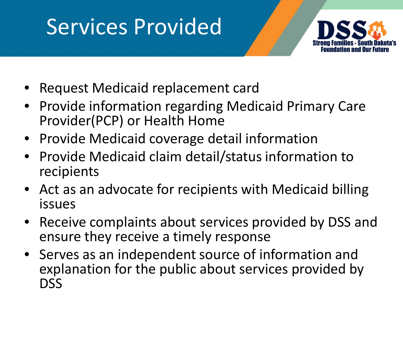### Services Provided



- Request Medicaid replacement card
- Provide information regarding Medicaid Primary Care Provider(PCP) or Health Home
- Provide Medicaid coverage detail information
- Provide Medicaid claim detail/status information to recipients
- Act as an advocate for recipients with Medicaid billing issues
- Receive complaints about services provided by DSS and ensure they receive a timely response
- Serves as an independent source of information and explanation for the public about services provided by DSS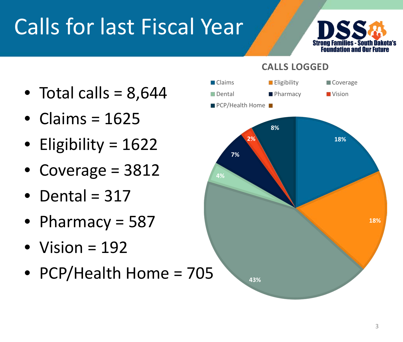# Calls for last Fiscal Year



- **CALLS LOGGED**
- **4% 7% 2% 8% Example 20** Eligibility **Coverage** PCP/Health Home
- Total calls =  $8,644$
- $\bullet$  Claims = 1625
- Eligibility = 1622
- Coverage = 3812
- Dental =  $317$
- Pharmacy = 587
- Vision  $= 192$
- PCP/Health Home = 705